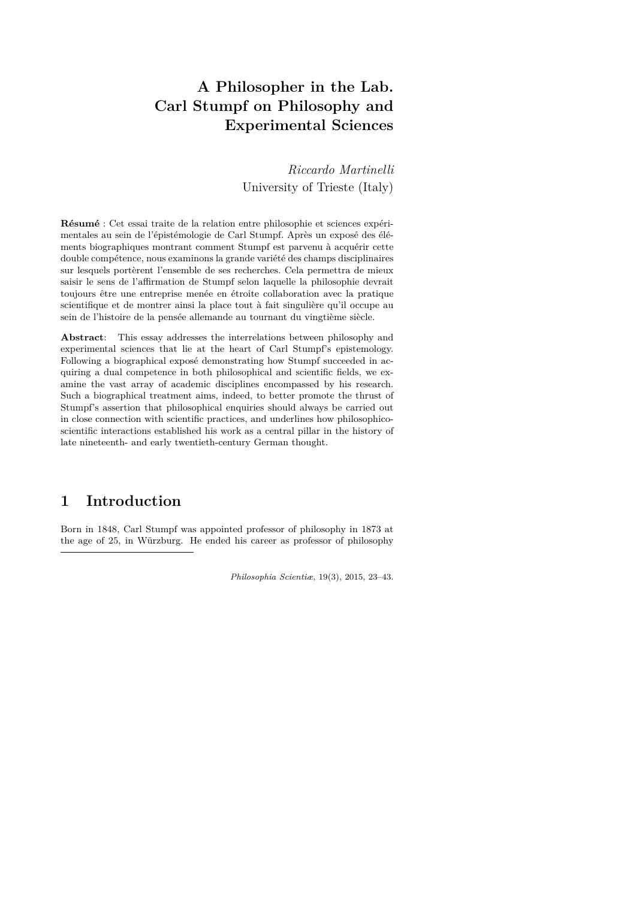# **A Philosopher in the Lab. Carl Stumpf on Philosophy and Experimental Sciences**

*Riccardo Martinelli* University of Trieste (Italy)

**Résumé** : Cet essai traite de la relation entre philosophie et sciences expérimentales au sein de l'épistémologie de Carl Stumpf. Après un exposé des éléments biographiques montrant comment Stumpf est parvenu à acquérir cette double compétence, nous examinons la grande variété des champs disciplinaires sur lesquels portèrent l'ensemble de ses recherches. Cela permettra de mieux saisir le sens de l'affirmation de Stumpf selon laquelle la philosophie devrait toujours être une entreprise menée en étroite collaboration avec la pratique scientifique et de montrer ainsi la place tout à fait singulière qu'il occupe au sein de l'histoire de la pensée allemande au tournant du vingtième siècle.

**Abstract**: This essay addresses the interrelations between philosophy and experimental sciences that lie at the heart of Carl Stumpf's epistemology. Following a biographical exposé demonstrating how Stumpf succeeded in acquiring a dual competence in both philosophical and scientific fields, we examine the vast array of academic disciplines encompassed by his research. Such a biographical treatment aims, indeed, to better promote the thrust of Stumpf's assertion that philosophical enquiries should always be carried out in close connection with scientific practices, and underlines how philosophicoscientific interactions established his work as a central pillar in the history of late nineteenth- and early twentieth-century German thought.

### **1 Introduction**

Born in 1848, Carl Stumpf was appointed professor of philosophy in 1873 at the age of 25, in Würzburg. He ended his career as professor of philosophy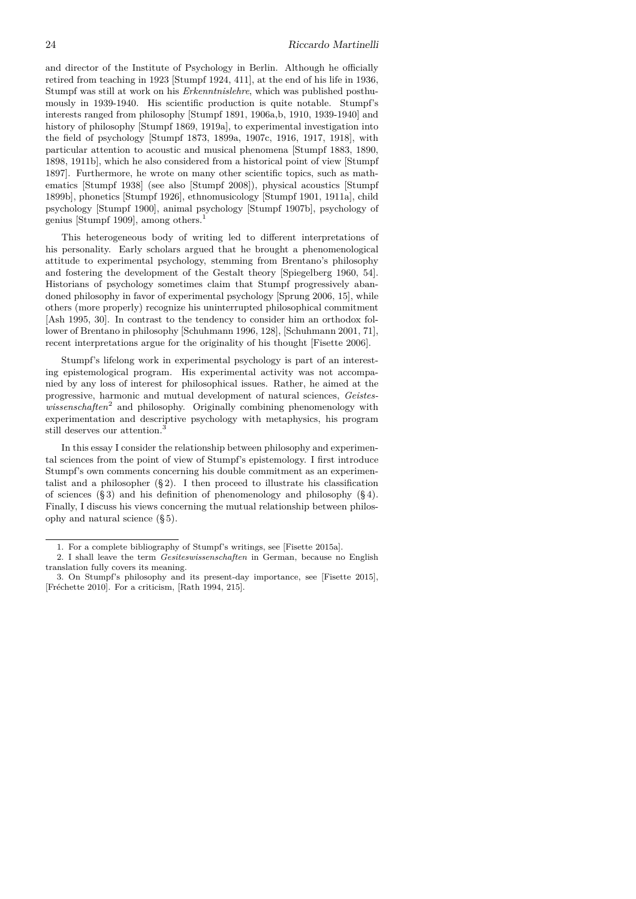and director of the Institute of Psychology in Berlin. Although he officially retired from teaching in 1923 [Stumpf 1924, 411], at the end of his life in 1936, Stumpf was still at work on his *Erkenntnislehre*, which was published posthumously in 1939-1940. His scientific production is quite notable. Stumpf's interests ranged from philosophy [Stumpf 1891, 1906a,b, 1910, 1939-1940] and history of philosophy [Stumpf 1869, 1919a], to experimental investigation into the field of psychology [Stumpf 1873, 1899a, 1907c, 1916, 1917, 1918], with particular attention to acoustic and musical phenomena [Stumpf 1883, 1890, 1898, 1911b], which he also considered from a historical point of view [Stumpf 1897]. Furthermore, he wrote on many other scientific topics, such as mathematics [Stumpf 1938] (see also [Stumpf 2008]), physical acoustics [Stumpf 1899b], phonetics [Stumpf 1926], ethnomusicology [Stumpf 1901, 1911a], child psychology [Stumpf 1900], animal psychology [Stumpf 1907b], psychology of genius [Stumpf 1909], among others.<sup>1</sup>

This heterogeneous body of writing led to different interpretations of his personality. Early scholars argued that he brought a phenomenological attitude to experimental psychology, stemming from Brentano's philosophy and fostering the development of the Gestalt theory [Spiegelberg 1960, 54]. Historians of psychology sometimes claim that Stumpf progressively abandoned philosophy in favor of experimental psychology [Sprung 2006, 15], while others (more properly) recognize his uninterrupted philosophical commitment [Ash 1995, 30]. In contrast to the tendency to consider him an orthodox follower of Brentano in philosophy [Schuhmann 1996, 128], [Schuhmann 2001, 71], recent interpretations argue for the originality of his thought [Fisette 2006].

Stumpf's lifelong work in experimental psychology is part of an interesting epistemological program. His experimental activity was not accompanied by any loss of interest for philosophical issues. Rather, he aimed at the progressive, harmonic and mutual development of natural sciences, *Geistes*wissenschaften<sup>2</sup> and philosophy. Originally combining phenomenology with experimentation and descriptive psychology with metaphysics, his program still deserves our attention.<sup>3</sup>

In this essay I consider the relationship between philosophy and experimental sciences from the point of view of Stumpf's epistemology. I first introduce Stumpf's own comments concerning his double commitment as an experimentalist and a philosopher  $(\S 2)$ . I then proceed to illustrate his classification of sciences  $(\S 3)$  and his definition of phenomenology and philosophy  $(\S 4)$ . Finally, I discuss his views concerning the mutual relationship between philosophy and natural science (§ 5).

<sup>1.</sup> For a complete bibliography of Stumpf's writings, see [Fisette 2015a].

<sup>2.</sup> I shall leave the term *Gesiteswissenschaften* in German, because no English translation fully covers its meaning.

<sup>3.</sup> On Stumpf's philosophy and its present-day importance, see [Fisette 2015], [Fréchette 2010]. For a criticism, [Rath 1994, 215].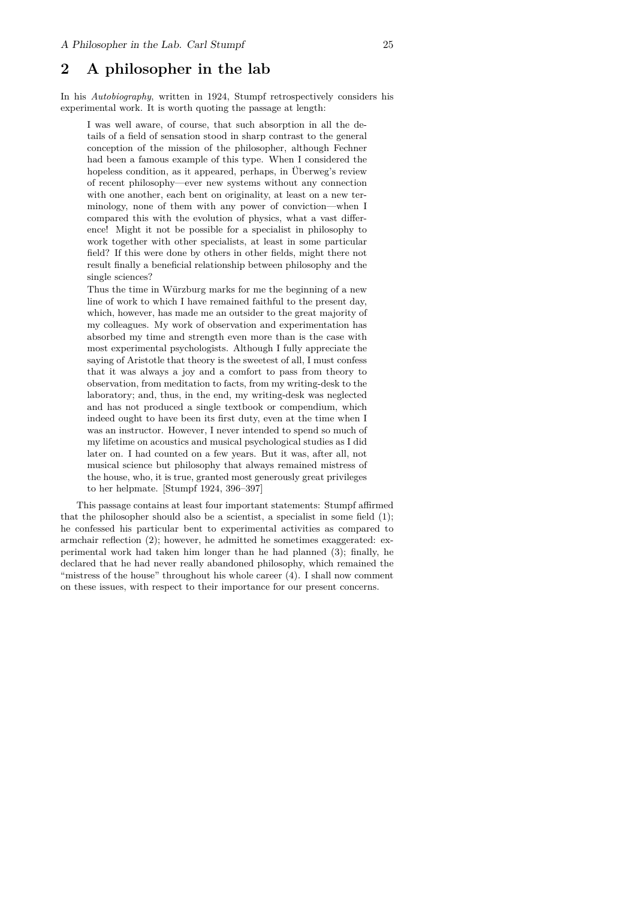### **2 A philosopher in the lab**

In his *Autobiography*, written in 1924, Stumpf retrospectively considers his experimental work. It is worth quoting the passage at length:

I was well aware, of course, that such absorption in all the details of a field of sensation stood in sharp contrast to the general conception of the mission of the philosopher, although Fechner had been a famous example of this type. When I considered the hopeless condition, as it appeared, perhaps, in Überweg's review of recent philosophy—ever new systems without any connection with one another, each bent on originality, at least on a new terminology, none of them with any power of conviction—when I compared this with the evolution of physics, what a vast difference! Might it not be possible for a specialist in philosophy to work together with other specialists, at least in some particular field? If this were done by others in other fields, might there not result finally a beneficial relationship between philosophy and the single sciences?

Thus the time in Würzburg marks for me the beginning of a new line of work to which I have remained faithful to the present day, which, however, has made me an outsider to the great majority of my colleagues. My work of observation and experimentation has absorbed my time and strength even more than is the case with most experimental psychologists. Although I fully appreciate the saying of Aristotle that theory is the sweetest of all, I must confess that it was always a joy and a comfort to pass from theory to observation, from meditation to facts, from my writing-desk to the laboratory; and, thus, in the end, my writing-desk was neglected and has not produced a single textbook or compendium, which indeed ought to have been its first duty, even at the time when I was an instructor. However, I never intended to spend so much of my lifetime on acoustics and musical psychological studies as I did later on. I had counted on a few years. But it was, after all, not musical science but philosophy that always remained mistress of the house, who, it is true, granted most generously great privileges to her helpmate. [Stumpf 1924, 396–397]

This passage contains at least four important statements: Stumpf affirmed that the philosopher should also be a scientist, a specialist in some field (1); he confessed his particular bent to experimental activities as compared to armchair reflection (2); however, he admitted he sometimes exaggerated: experimental work had taken him longer than he had planned (3); finally, he declared that he had never really abandoned philosophy, which remained the "mistress of the house" throughout his whole career (4). I shall now comment on these issues, with respect to their importance for our present concerns.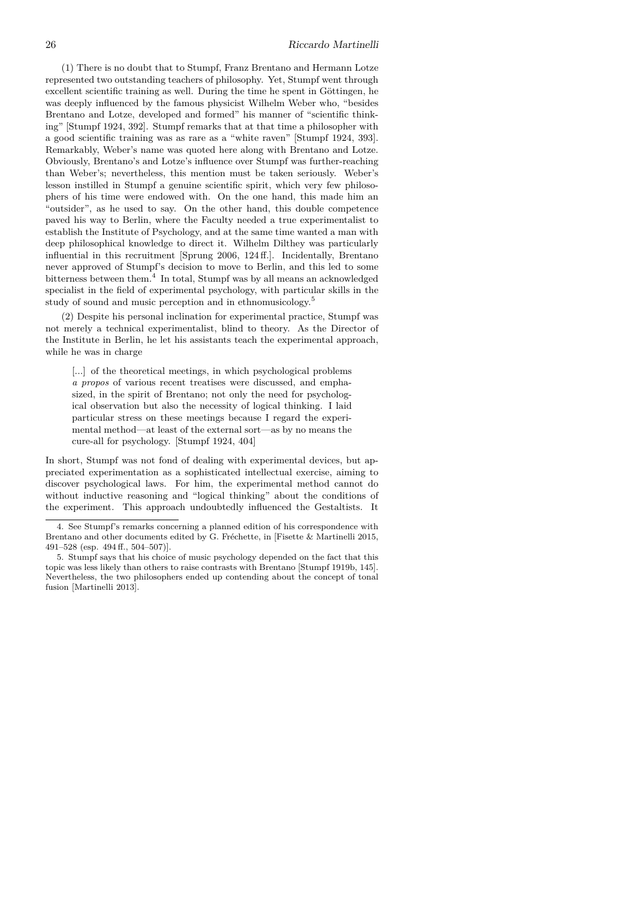(1) There is no doubt that to Stumpf, Franz Brentano and Hermann Lotze represented two outstanding teachers of philosophy. Yet, Stumpf went through excellent scientific training as well. During the time he spent in Göttingen, he was deeply influenced by the famous physicist Wilhelm Weber who, "besides Brentano and Lotze, developed and formed" his manner of "scientific thinking" [Stumpf 1924, 392]. Stumpf remarks that at that time a philosopher with a good scientific training was as rare as a "white raven" [Stumpf 1924, 393]. Remarkably, Weber's name was quoted here along with Brentano and Lotze. Obviously, Brentano's and Lotze's influence over Stumpf was further-reaching than Weber's; nevertheless, this mention must be taken seriously. Weber's lesson instilled in Stumpf a genuine scientific spirit, which very few philosophers of his time were endowed with. On the one hand, this made him an "outsider", as he used to say. On the other hand, this double competence paved his way to Berlin, where the Faculty needed a true experimentalist to establish the Institute of Psychology, and at the same time wanted a man with deep philosophical knowledge to direct it. Wilhelm Dilthey was particularly influential in this recruitment [Sprung 2006, 124 ff.]. Incidentally, Brentano never approved of Stumpf's decision to move to Berlin, and this led to some bitterness between them.<sup>4</sup> In total, Stumpf was by all means an acknowledged specialist in the field of experimental psychology, with particular skills in the study of sound and music perception and in ethnomusicology.<sup>5</sup>

(2) Despite his personal inclination for experimental practice, Stumpf was not merely a technical experimentalist, blind to theory. As the Director of the Institute in Berlin, he let his assistants teach the experimental approach, while he was in charge

[...] of the theoretical meetings, in which psychological problems *a propos* of various recent treatises were discussed, and emphasized, in the spirit of Brentano; not only the need for psychological observation but also the necessity of logical thinking. I laid particular stress on these meetings because I regard the experimental method—at least of the external sort—as by no means the cure-all for psychology. [Stumpf 1924, 404]

In short, Stumpf was not fond of dealing with experimental devices, but appreciated experimentation as a sophisticated intellectual exercise, aiming to discover psychological laws. For him, the experimental method cannot do without inductive reasoning and "logical thinking" about the conditions of the experiment. This approach undoubtedly influenced the Gestaltists. It

<sup>4.</sup> See Stumpf's remarks concerning a planned edition of his correspondence with Brentano and other documents edited by G. Fréchette, in [Fisette & Martinelli 2015, 491–528 (esp. 494 ff., 504–507)].

<sup>5.</sup> Stumpf says that his choice of music psychology depended on the fact that this topic was less likely than others to raise contrasts with Brentano [Stumpf 1919b, 145]. Nevertheless, the two philosophers ended up contending about the concept of tonal fusion [Martinelli 2013].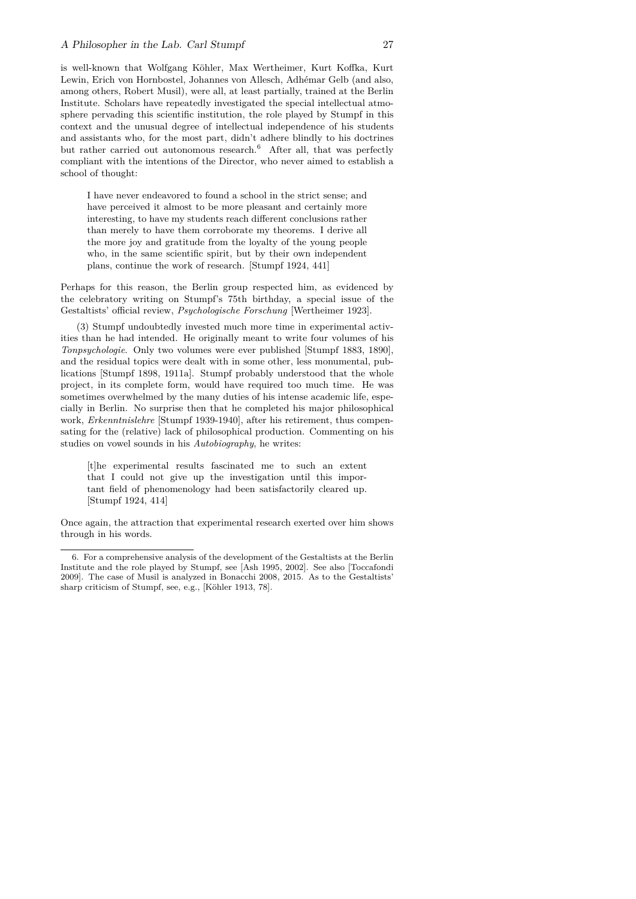is well-known that Wolfgang Köhler, Max Wertheimer, Kurt Koffka, Kurt Lewin, Erich von Hornbostel, Johannes von Allesch, Adhémar Gelb (and also, among others, Robert Musil), were all, at least partially, trained at the Berlin Institute. Scholars have repeatedly investigated the special intellectual atmosphere pervading this scientific institution, the role played by Stumpf in this context and the unusual degree of intellectual independence of his students and assistants who, for the most part, didn't adhere blindly to his doctrines but rather carried out autonomous research.<sup>6</sup> After all, that was perfectly compliant with the intentions of the Director, who never aimed to establish a school of thought:

I have never endeavored to found a school in the strict sense; and have perceived it almost to be more pleasant and certainly more interesting, to have my students reach different conclusions rather than merely to have them corroborate my theorems. I derive all the more joy and gratitude from the loyalty of the young people who, in the same scientific spirit, but by their own independent plans, continue the work of research. [Stumpf 1924, 441]

Perhaps for this reason, the Berlin group respected him, as evidenced by the celebratory writing on Stumpf's 75th birthday, a special issue of the Gestaltists' official review, *Psychologische Forschung* [Wertheimer 1923].

(3) Stumpf undoubtedly invested much more time in experimental activities than he had intended. He originally meant to write four volumes of his *Tonpsychologie*. Only two volumes were ever published [Stumpf 1883, 1890], and the residual topics were dealt with in some other, less monumental, publications [Stumpf 1898, 1911a]. Stumpf probably understood that the whole project, in its complete form, would have required too much time. He was sometimes overwhelmed by the many duties of his intense academic life, especially in Berlin. No surprise then that he completed his major philosophical work, *Erkenntnislehre* [Stumpf 1939-1940], after his retirement, thus compensating for the (relative) lack of philosophical production. Commenting on his studies on vowel sounds in his *Autobiography*, he writes:

[t]he experimental results fascinated me to such an extent that I could not give up the investigation until this important field of phenomenology had been satisfactorily cleared up. [Stumpf 1924, 414]

Once again, the attraction that experimental research exerted over him shows through in his words.

<sup>6.</sup> For a comprehensive analysis of the development of the Gestaltists at the Berlin Institute and the role played by Stumpf, see [Ash 1995, 2002]. See also [Toccafondi 2009]. The case of Musil is analyzed in Bonacchi 2008, 2015. As to the Gestaltists' sharp criticism of Stumpf, see, e.g., [Köhler 1913, 78].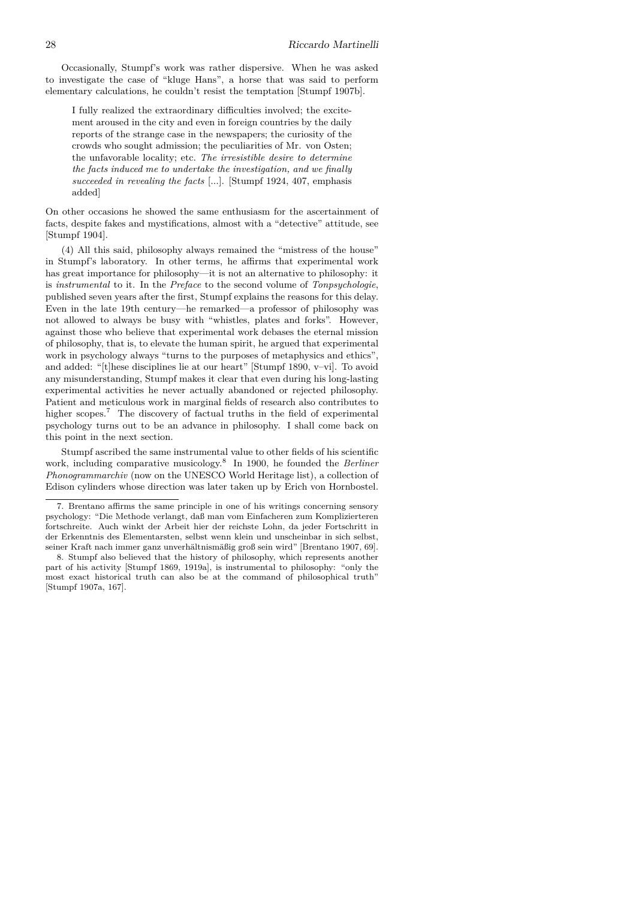Occasionally, Stumpf's work was rather dispersive. When he was asked to investigate the case of "kluge Hans", a horse that was said to perform elementary calculations, he couldn't resist the temptation [Stumpf 1907b].

I fully realized the extraordinary difficulties involved; the excitement aroused in the city and even in foreign countries by the daily reports of the strange case in the newspapers; the curiosity of the crowds who sought admission; the peculiarities of Mr. von Osten; the unfavorable locality; etc. *The irresistible desire to determine the facts induced me to undertake the investigation, and we finally succeeded in revealing the facts* [...]. [Stumpf 1924, 407, emphasis added]

On other occasions he showed the same enthusiasm for the ascertainment of facts, despite fakes and mystifications, almost with a "detective" attitude, see [Stumpf 1904].

(4) All this said, philosophy always remained the "mistress of the house" in Stumpf's laboratory. In other terms, he affirms that experimental work has great importance for philosophy—it is not an alternative to philosophy: it is *instrumental* to it. In the *Preface* to the second volume of *Tonpsychologie*, published seven years after the first, Stumpf explains the reasons for this delay. Even in the late 19th century—he remarked—a professor of philosophy was not allowed to always be busy with "whistles, plates and forks". However, against those who believe that experimental work debases the eternal mission of philosophy, that is, to elevate the human spirit, he argued that experimental work in psychology always "turns to the purposes of metaphysics and ethics", and added: "[t]hese disciplines lie at our heart" [Stumpf 1890, v–vi]. To avoid any misunderstanding, Stumpf makes it clear that even during his long-lasting experimental activities he never actually abandoned or rejected philosophy. Patient and meticulous work in marginal fields of research also contributes to higher scopes.<sup>7</sup> The discovery of factual truths in the field of experimental psychology turns out to be an advance in philosophy. I shall come back on this point in the next section.

Stumpf ascribed the same instrumental value to other fields of his scientific work, including comparative musicology.<sup>8</sup> In 1900, he founded the *Berliner Phonogrammarchiv* (now on the UNESCO World Heritage list), a collection of Edison cylinders whose direction was later taken up by Erich von Hornbostel.

<sup>7.</sup> Brentano affirms the same principle in one of his writings concerning sensory psychology: "Die Methode verlangt, daß man vom Einfacheren zum Komplizierteren fortschreite. Auch winkt der Arbeit hier der reichste Lohn, da jeder Fortschritt in der Erkenntnis des Elementarsten, selbst wenn klein und unscheinbar in sich selbst, seiner Kraft nach immer ganz unverhältnismäßig groß sein wird" [Brentano 1907, 69].

<sup>8.</sup> Stumpf also believed that the history of philosophy, which represents another part of his activity [Stumpf 1869, 1919a], is instrumental to philosophy: "only the most exact historical truth can also be at the command of philosophical truth" [Stumpf 1907a, 167].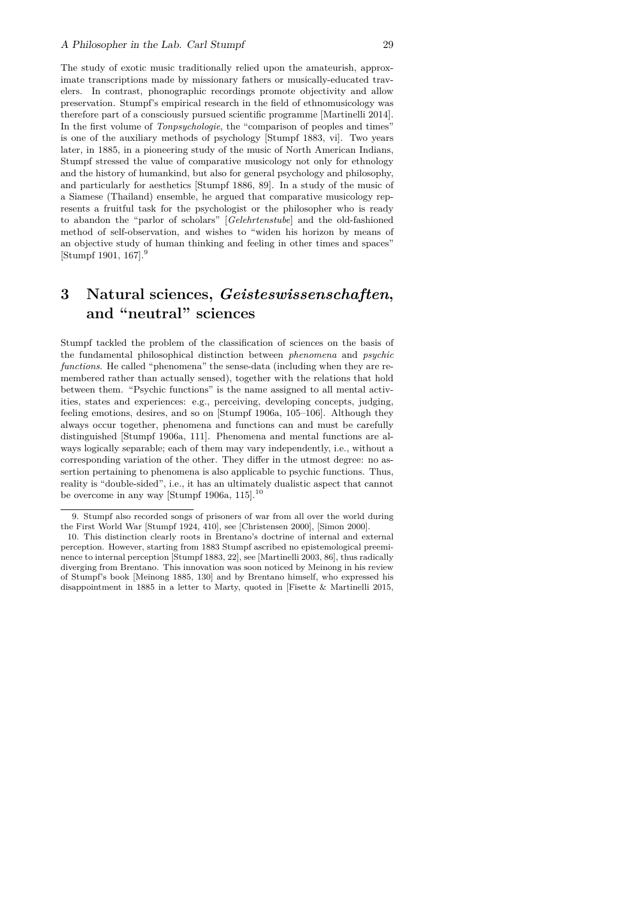The study of exotic music traditionally relied upon the amateurish, approximate transcriptions made by missionary fathers or musically-educated travelers. In contrast, phonographic recordings promote objectivity and allow preservation. Stumpf's empirical research in the field of ethnomusicology was therefore part of a consciously pursued scientific programme [Martinelli 2014]. In the first volume of *Tonpsychologie*, the "comparison of peoples and times" is one of the auxiliary methods of psychology [Stumpf 1883, vi]. Two years later, in 1885, in a pioneering study of the music of North American Indians, Stumpf stressed the value of comparative musicology not only for ethnology and the history of humankind, but also for general psychology and philosophy, and particularly for aesthetics [Stumpf 1886, 89]. In a study of the music of a Siamese (Thailand) ensemble, he argued that comparative musicology represents a fruitful task for the psychologist or the philosopher who is ready to abandon the "parlor of scholars" [*Gelehrtenstube*] and the old-fashioned method of self-observation, and wishes to "widen his horizon by means of an objective study of human thinking and feeling in other times and spaces" [Stumpf 1901, 167].<sup>9</sup>

## **3 Natural sciences,** *Geisteswissenschaften***, and "neutral" sciences**

Stumpf tackled the problem of the classification of sciences on the basis of the fundamental philosophical distinction between *phenomena* and *psychic functions*. He called "phenomena" the sense-data (including when they are remembered rather than actually sensed), together with the relations that hold between them. "Psychic functions" is the name assigned to all mental activities, states and experiences: e.g., perceiving, developing concepts, judging, feeling emotions, desires, and so on [Stumpf 1906a, 105–106]. Although they always occur together, phenomena and functions can and must be carefully distinguished [Stumpf 1906a, 111]. Phenomena and mental functions are always logically separable; each of them may vary independently, i.e., without a corresponding variation of the other. They differ in the utmost degree: no assertion pertaining to phenomena is also applicable to psychic functions. Thus, reality is "double-sided", i.e., it has an ultimately dualistic aspect that cannot be overcome in any way [Stumpf 1906a, 115]. $^{10}$ 

<sup>9.</sup> Stumpf also recorded songs of prisoners of war from all over the world during the First World War [Stumpf 1924, 410], see [Christensen 2000], [Simon 2000].

<sup>10.</sup> This distinction clearly roots in Brentano's doctrine of internal and external perception. However, starting from 1883 Stumpf ascribed no epistemological preeminence to internal perception [Stumpf 1883, 22], see [Martinelli 2003, 86], thus radically diverging from Brentano. This innovation was soon noticed by Meinong in his review of Stumpf's book [Meinong 1885, 130] and by Brentano himself, who expressed his disappointment in 1885 in a letter to Marty, quoted in [Fisette & Martinelli 2015,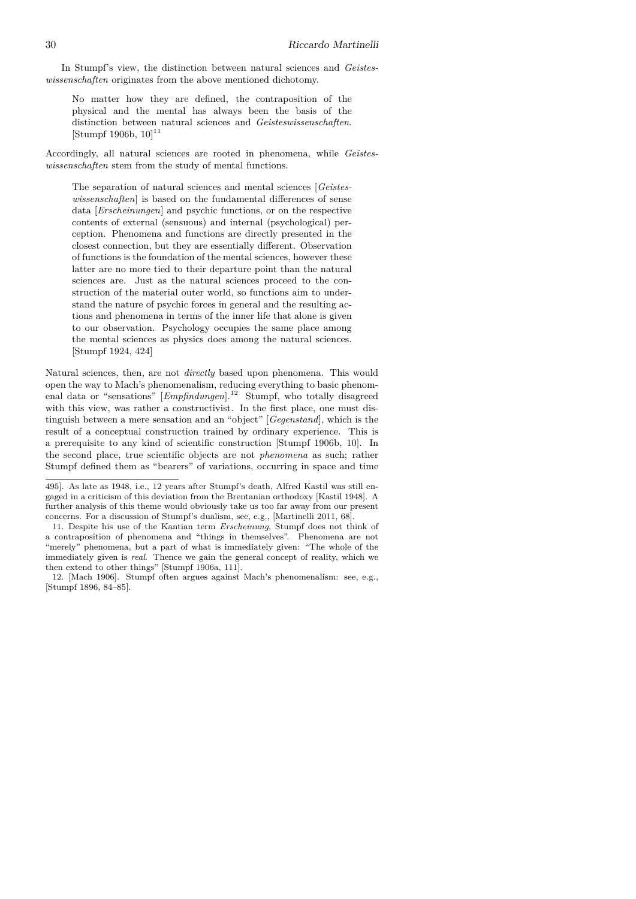In Stumpf's view, the distinction between natural sciences and *Geisteswissenschaften* originates from the above mentioned dichotomy.

No matter how they are defined, the contraposition of the physical and the mental has always been the basis of the distinction between natural sciences and *Geisteswissenschaften*.  $[Stumpf 1906b, 10]^{11}$ 

Accordingly, all natural sciences are rooted in phenomena, while *Geisteswissenschaften* stem from the study of mental functions.

The separation of natural sciences and mental sciences [*Geisteswissenschaften*] is based on the fundamental differences of sense data [*Erscheinungen*] and psychic functions, or on the respective contents of external (sensuous) and internal (psychological) perception. Phenomena and functions are directly presented in the closest connection, but they are essentially different. Observation of functions is the foundation of the mental sciences, however these latter are no more tied to their departure point than the natural sciences are. Just as the natural sciences proceed to the construction of the material outer world, so functions aim to understand the nature of psychic forces in general and the resulting actions and phenomena in terms of the inner life that alone is given to our observation. Psychology occupies the same place among the mental sciences as physics does among the natural sciences. [Stumpf 1924, 424]

Natural sciences, then, are not *directly* based upon phenomena. This would open the way to Mach's phenomenalism, reducing everything to basic phenomenal data or "sensations" [*Empfindungen*].<sup>12</sup> Stumpf, who totally disagreed with this view, was rather a constructivist. In the first place, one must distinguish between a mere sensation and an "object" [*Gegenstand*], which is the result of a conceptual construction trained by ordinary experience. This is a prerequisite to any kind of scientific construction [Stumpf 1906b, 10]. In the second place, true scientific objects are not *phenomena* as such; rather Stumpf defined them as "bearers" of variations, occurring in space and time

<sup>495].</sup> As late as 1948, i.e., 12 years after Stumpf's death, Alfred Kastil was still engaged in a criticism of this deviation from the Brentanian orthodoxy [Kastil 1948]. A further analysis of this theme would obviously take us too far away from our present concerns. For a discussion of Stumpf's dualism, see, e.g., [Martinelli 2011, 68].

<sup>11.</sup> Despite his use of the Kantian term *Erscheinung*, Stumpf does not think of a contraposition of phenomena and "things in themselves". Phenomena are not "merely" phenomena, but a part of what is immediately given: "The whole of the immediately given is *real*. Thence we gain the general concept of reality, which we then extend to other things" [Stumpf 1906a, 111].

<sup>12. [</sup>Mach 1906]. Stumpf often argues against Mach's phenomenalism: see, e.g., [Stumpf 1896, 84–85].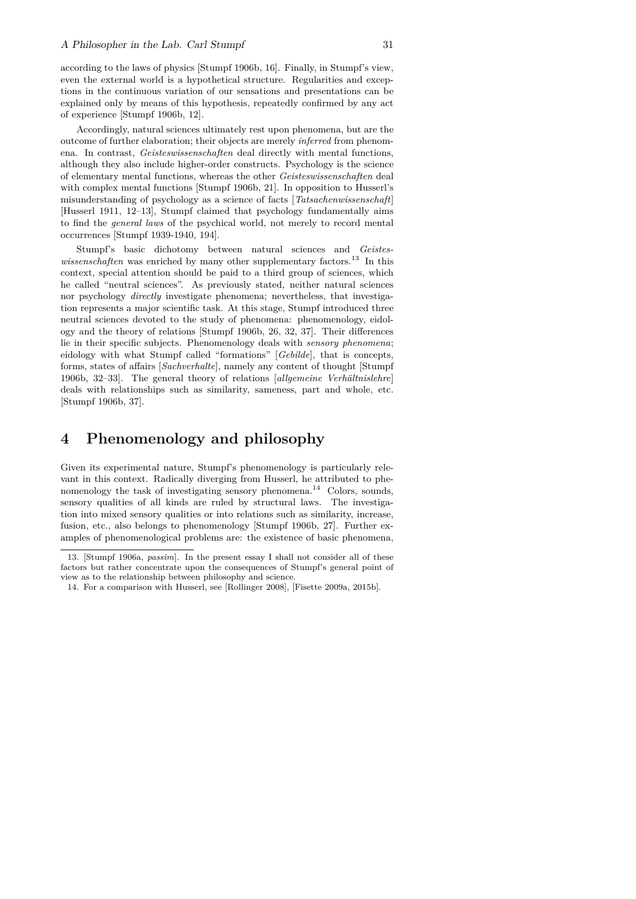according to the laws of physics [Stumpf 1906b, 16]. Finally, in Stumpf's view, even the external world is a hypothetical structure. Regularities and exceptions in the continuous variation of our sensations and presentations can be explained only by means of this hypothesis, repeatedly confirmed by any act of experience [Stumpf 1906b, 12].

Accordingly, natural sciences ultimately rest upon phenomena, but are the outcome of further elaboration; their objects are merely *inferred* from phenomena. In contrast, *Geisteswissenschaften* deal directly with mental functions, although they also include higher-order constructs. Psychology is the science of elementary mental functions, whereas the other *Geisteswissenschaften* deal with complex mental functions [Stumpf 1906b, 21]. In opposition to Husserl's misunderstanding of psychology as a science of facts [*Tatsachenwissenschaft*] [Husserl 1911, 12–13], Stumpf claimed that psychology fundamentally aims to find the *general laws* of the psychical world, not merely to record mental occurrences [Stumpf 1939-1940, 194].

Stumpf's basic dichotomy between natural sciences and *Geisteswissenschaften* was enriched by many other supplementary factors.<sup>13</sup> In this context, special attention should be paid to a third group of sciences, which he called "neutral sciences". As previously stated, neither natural sciences nor psychology *directly* investigate phenomena; nevertheless, that investigation represents a major scientific task. At this stage, Stumpf introduced three neutral sciences devoted to the study of phenomena: phenomenology, eidology and the theory of relations [Stumpf 1906b, 26, 32, 37]. Their differences lie in their specific subjects. Phenomenology deals with *sensory phenomena*; eidology with what Stumpf called "formations" [*Gebilde*], that is concepts, forms, states of affairs [*Sachverhalte*], namely any content of thought [Stumpf 1906b, 32–33]. The general theory of relations [*allgemeine Verhältnislehre*] deals with relationships such as similarity, sameness, part and whole, etc. [Stumpf 1906b, 37].

### **4 Phenomenology and philosophy**

Given its experimental nature, Stumpf's phenomenology is particularly relevant in this context. Radically diverging from Husserl, he attributed to phenomenology the task of investigating sensory phenomena.<sup>14</sup> Colors, sounds, sensory qualities of all kinds are ruled by structural laws. The investigation into mixed sensory qualities or into relations such as similarity, increase, fusion, etc., also belongs to phenomenology [Stumpf 1906b, 27]. Further examples of phenomenological problems are: the existence of basic phenomena,

<sup>13. [</sup>Stumpf 1906a, *passim*]. In the present essay I shall not consider all of these factors but rather concentrate upon the consequences of Stumpf's general point of view as to the relationship between philosophy and science.

<sup>14.</sup> For a comparison with Husserl, see [Rollinger 2008], [Fisette 2009a, 2015b].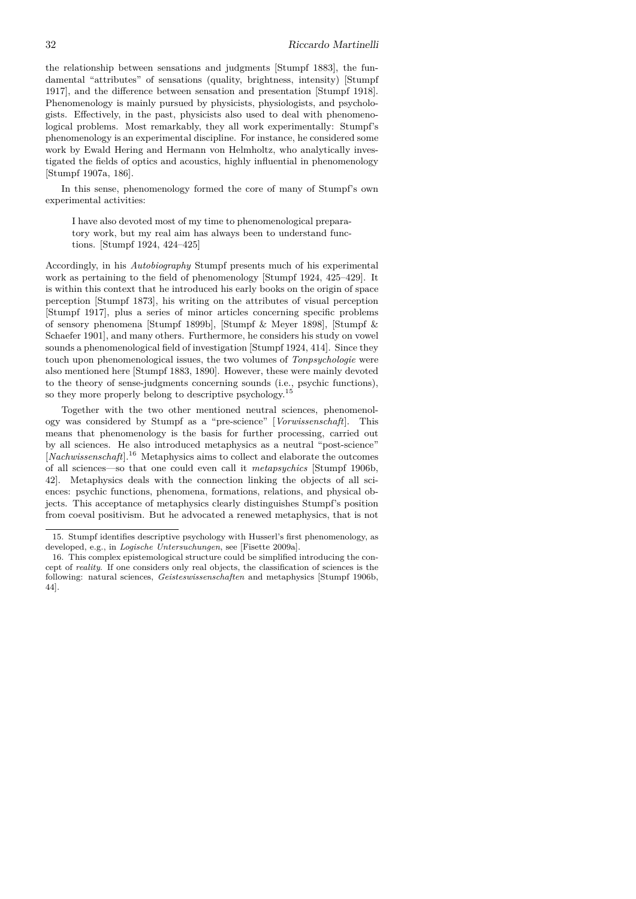the relationship between sensations and judgments [Stumpf 1883], the fundamental "attributes" of sensations (quality, brightness, intensity) [Stumpf 1917], and the difference between sensation and presentation [Stumpf 1918]. Phenomenology is mainly pursued by physicists, physiologists, and psychologists. Effectively, in the past, physicists also used to deal with phenomenological problems. Most remarkably, they all work experimentally: Stumpf's phenomenology is an experimental discipline. For instance, he considered some work by Ewald Hering and Hermann von Helmholtz, who analytically investigated the fields of optics and acoustics, highly influential in phenomenology [Stumpf 1907a, 186].

In this sense, phenomenology formed the core of many of Stumpf's own experimental activities:

I have also devoted most of my time to phenomenological preparatory work, but my real aim has always been to understand functions. [Stumpf 1924, 424–425]

Accordingly, in his *Autobiography* Stumpf presents much of his experimental work as pertaining to the field of phenomenology [Stumpf 1924, 425–429]. It is within this context that he introduced his early books on the origin of space perception [Stumpf 1873], his writing on the attributes of visual perception [Stumpf 1917], plus a series of minor articles concerning specific problems of sensory phenomena [Stumpf 1899b], [Stumpf & Meyer 1898], [Stumpf & Schaefer 1901], and many others. Furthermore, he considers his study on vowel sounds a phenomenological field of investigation [Stumpf 1924, 414]. Since they touch upon phenomenological issues, the two volumes of *Tonpsychologie* were also mentioned here [Stumpf 1883, 1890]. However, these were mainly devoted to the theory of sense-judgments concerning sounds (i.e., psychic functions), so they more properly belong to descriptive psychology.<sup>15</sup>

Together with the two other mentioned neutral sciences, phenomenology was considered by Stumpf as a "pre-science" [*Vorwissenschaft*]. This means that phenomenology is the basis for further processing, carried out by all sciences. He also introduced metaphysics as a neutral "post-science" [*Nachwissenschaft*].<sup>16</sup> Metaphysics aims to collect and elaborate the outcomes of all sciences—so that one could even call it *metapsychics* [Stumpf 1906b, 42]. Metaphysics deals with the connection linking the objects of all sciences: psychic functions, phenomena, formations, relations, and physical objects. This acceptance of metaphysics clearly distinguishes Stumpf's position from coeval positivism. But he advocated a renewed metaphysics, that is not

<sup>15.</sup> Stumpf identifies descriptive psychology with Husserl's first phenomenology, as developed, e.g., in *Logische Untersuchungen*, see [Fisette 2009a].

<sup>16.</sup> This complex epistemological structure could be simplified introducing the concept of *reality*. If one considers only real objects, the classification of sciences is the following: natural sciences, *Geisteswissenschaften* and metaphysics [Stumpf 1906b, 44].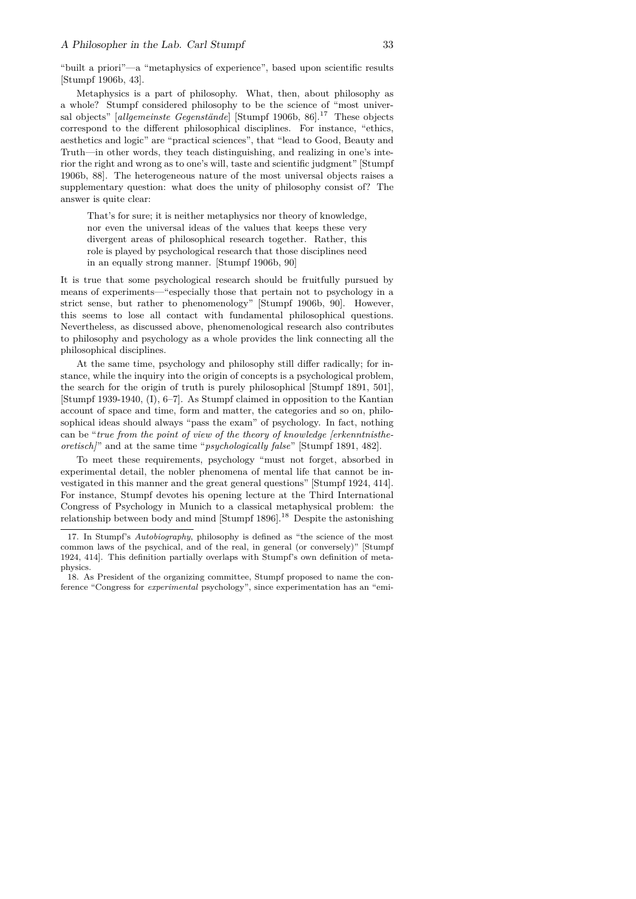"built a priori"—a "metaphysics of experience", based upon scientific results [Stumpf 1906b, 43].

Metaphysics is a part of philosophy. What, then, about philosophy as a whole? Stumpf considered philosophy to be the science of "most universal objects" *[allgemeinste Gegenstände*] [Stumpf 1906b, 86].<sup>17</sup> These objects correspond to the different philosophical disciplines. For instance, "ethics, aesthetics and logic" are "practical sciences", that "lead to Good, Beauty and Truth—in other words, they teach distinguishing, and realizing in one's interior the right and wrong as to one's will, taste and scientific judgment" [Stumpf 1906b, 88]. The heterogeneous nature of the most universal objects raises a supplementary question: what does the unity of philosophy consist of? The answer is quite clear:

That's for sure; it is neither metaphysics nor theory of knowledge, nor even the universal ideas of the values that keeps these very divergent areas of philosophical research together. Rather, this role is played by psychological research that those disciplines need in an equally strong manner. [Stumpf 1906b, 90]

It is true that some psychological research should be fruitfully pursued by means of experiments—"especially those that pertain not to psychology in a strict sense, but rather to phenomenology" [Stumpf 1906b, 90]. However, this seems to lose all contact with fundamental philosophical questions. Nevertheless, as discussed above, phenomenological research also contributes to philosophy and psychology as a whole provides the link connecting all the philosophical disciplines.

At the same time, psychology and philosophy still differ radically; for instance, while the inquiry into the origin of concepts is a psychological problem, the search for the origin of truth is purely philosophical [Stumpf 1891, 501], [Stumpf 1939-1940, (I), 6–7]. As Stumpf claimed in opposition to the Kantian account of space and time, form and matter, the categories and so on, philosophical ideas should always "pass the exam" of psychology. In fact, nothing can be "*true from the point of view of the theory of knowledge [erkenntnistheoretisch]*" and at the same time "*psychologically false*" [Stumpf 1891, 482].

To meet these requirements, psychology "must not forget, absorbed in experimental detail, the nobler phenomena of mental life that cannot be investigated in this manner and the great general questions" [Stumpf 1924, 414]. For instance, Stumpf devotes his opening lecture at the Third International Congress of Psychology in Munich to a classical metaphysical problem: the relationship between body and mind [Stumpf  $1896$ ].<sup>18</sup> Despite the astonishing

<sup>17.</sup> In Stumpf's *Autobiography*, philosophy is defined as "the science of the most common laws of the psychical, and of the real, in general (or conversely)" [Stumpf 1924, 414]. This definition partially overlaps with Stumpf's own definition of metaphysics.

<sup>18.</sup> As President of the organizing committee, Stumpf proposed to name the conference "Congress for *experimental* psychology", since experimentation has an "emi-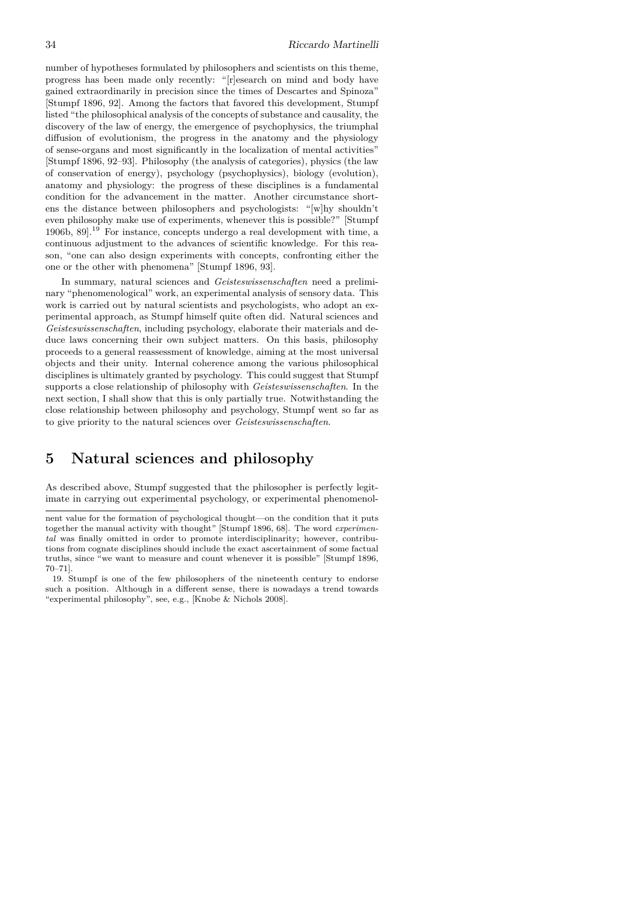number of hypotheses formulated by philosophers and scientists on this theme, progress has been made only recently: "[r]esearch on mind and body have gained extraordinarily in precision since the times of Descartes and Spinoza" [Stumpf 1896, 92]. Among the factors that favored this development, Stumpf listed "the philosophical analysis of the concepts of substance and causality, the discovery of the law of energy, the emergence of psychophysics, the triumphal diffusion of evolutionism, the progress in the anatomy and the physiology of sense-organs and most significantly in the localization of mental activities" [Stumpf 1896, 92–93]. Philosophy (the analysis of categories), physics (the law of conservation of energy), psychology (psychophysics), biology (evolution), anatomy and physiology: the progress of these disciplines is a fundamental condition for the advancement in the matter. Another circumstance shortens the distance between philosophers and psychologists: "[w]hy shouldn't even philosophy make use of experiments, whenever this is possible?" [Stumpf 1906b, 89].<sup>19</sup> For instance, concepts undergo a real development with time, a continuous adjustment to the advances of scientific knowledge. For this reason, "one can also design experiments with concepts, confronting either the one or the other with phenomena" [Stumpf 1896, 93].

In summary, natural sciences and *Geisteswissenschaften* need a preliminary "phenomenological" work, an experimental analysis of sensory data. This work is carried out by natural scientists and psychologists, who adopt an experimental approach, as Stumpf himself quite often did. Natural sciences and *Geisteswissenschaften*, including psychology, elaborate their materials and deduce laws concerning their own subject matters. On this basis, philosophy proceeds to a general reassessment of knowledge, aiming at the most universal objects and their unity. Internal coherence among the various philosophical disciplines is ultimately granted by psychology. This could suggest that Stumpf supports a close relationship of philosophy with *Geisteswissenschaften*. In the next section, I shall show that this is only partially true. Notwithstanding the close relationship between philosophy and psychology, Stumpf went so far as to give priority to the natural sciences over *Geisteswissenschaften*.

### **5 Natural sciences and philosophy**

As described above, Stumpf suggested that the philosopher is perfectly legitimate in carrying out experimental psychology, or experimental phenomenol-

nent value for the formation of psychological thought—on the condition that it puts together the manual activity with thought" [Stumpf 1896, 68]. The word *experimental* was finally omitted in order to promote interdisciplinarity; however, contributions from cognate disciplines should include the exact ascertainment of some factual truths, since "we want to measure and count whenever it is possible" [Stumpf 1896, 70–71].

<sup>19.</sup> Stumpf is one of the few philosophers of the nineteenth century to endorse such a position. Although in a different sense, there is nowadays a trend towards "experimental philosophy", see, e.g., [Knobe & Nichols 2008].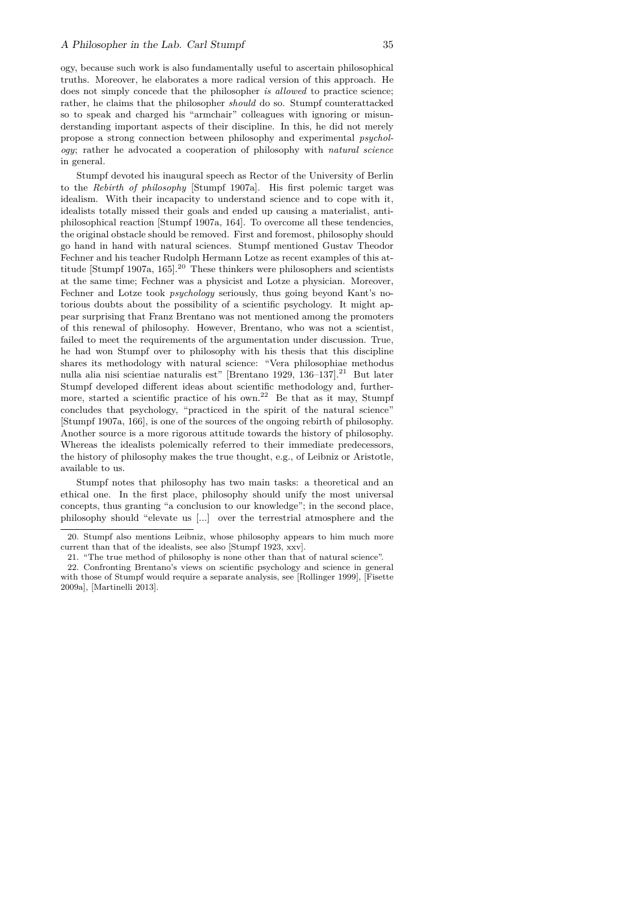ogy, because such work is also fundamentally useful to ascertain philosophical truths. Moreover, he elaborates a more radical version of this approach. He does not simply concede that the philosopher *is allowed* to practice science; rather, he claims that the philosopher *should* do so. Stumpf counterattacked so to speak and charged his "armchair" colleagues with ignoring or misunderstanding important aspects of their discipline. In this, he did not merely propose a strong connection between philosophy and experimental *psychology*; rather he advocated a cooperation of philosophy with *natural science* in general.

Stumpf devoted his inaugural speech as Rector of the University of Berlin to the *Rebirth of philosophy* [Stumpf 1907a]. His first polemic target was idealism. With their incapacity to understand science and to cope with it, idealists totally missed their goals and ended up causing a materialist, antiphilosophical reaction [Stumpf 1907a, 164]. To overcome all these tendencies, the original obstacle should be removed. First and foremost, philosophy should go hand in hand with natural sciences. Stumpf mentioned Gustav Theodor Fechner and his teacher Rudolph Hermann Lotze as recent examples of this attitude [Stumpf 1907a, 165].<sup>20</sup> These thinkers were philosophers and scientists at the same time; Fechner was a physicist and Lotze a physician. Moreover, Fechner and Lotze took *psychology* seriously, thus going beyond Kant's notorious doubts about the possibility of a scientific psychology. It might appear surprising that Franz Brentano was not mentioned among the promoters of this renewal of philosophy. However, Brentano, who was not a scientist, failed to meet the requirements of the argumentation under discussion. True, he had won Stumpf over to philosophy with his thesis that this discipline shares its methodology with natural science: "Vera philosophiae methodus nulla alia nisi scientiae naturalis est" [Brentano 1929, 136–137].<sup>21</sup> But later Stumpf developed different ideas about scientific methodology and, furthermore, started a scientific practice of his own.<sup>22</sup> Be that as it may, Stumpf concludes that psychology, "practiced in the spirit of the natural science" [Stumpf 1907a, 166], is one of the sources of the ongoing rebirth of philosophy. Another source is a more rigorous attitude towards the history of philosophy. Whereas the idealists polemically referred to their immediate predecessors, the history of philosophy makes the true thought, e.g., of Leibniz or Aristotle, available to us.

Stumpf notes that philosophy has two main tasks: a theoretical and an ethical one. In the first place, philosophy should unify the most universal concepts, thus granting "a conclusion to our knowledge"; in the second place, philosophy should "elevate us [...] over the terrestrial atmosphere and the

<sup>20.</sup> Stumpf also mentions Leibniz, whose philosophy appears to him much more current than that of the idealists, see also [Stumpf 1923, xxv].

<sup>21. &</sup>quot;The true method of philosophy is none other than that of natural science".

<sup>22.</sup> Confronting Brentano's views on scientific psychology and science in general with those of Stumpf would require a separate analysis, see [Rollinger 1999], [Fisette 2009a], [Martinelli 2013].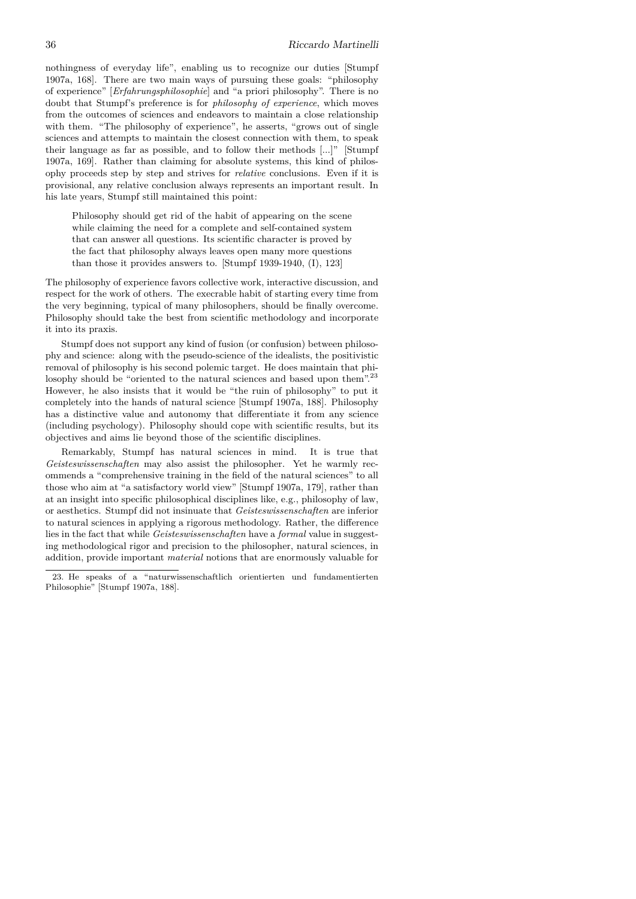nothingness of everyday life", enabling us to recognize our duties [Stumpf 1907a, 168]. There are two main ways of pursuing these goals: "philosophy of experience" [*Erfahrungsphilosophie*] and "a priori philosophy". There is no doubt that Stumpf's preference is for *philosophy of experience*, which moves from the outcomes of sciences and endeavors to maintain a close relationship with them. "The philosophy of experience", he asserts, "grows out of single sciences and attempts to maintain the closest connection with them, to speak their language as far as possible, and to follow their methods [...]" [Stumpf 1907a, 169]. Rather than claiming for absolute systems, this kind of philosophy proceeds step by step and strives for *relative* conclusions. Even if it is provisional, any relative conclusion always represents an important result. In his late years, Stumpf still maintained this point:

Philosophy should get rid of the habit of appearing on the scene while claiming the need for a complete and self-contained system that can answer all questions. Its scientific character is proved by the fact that philosophy always leaves open many more questions than those it provides answers to. [Stumpf 1939-1940, (I), 123]

The philosophy of experience favors collective work, interactive discussion, and respect for the work of others. The execrable habit of starting every time from the very beginning, typical of many philosophers, should be finally overcome. Philosophy should take the best from scientific methodology and incorporate it into its praxis.

Stumpf does not support any kind of fusion (or confusion) between philosophy and science: along with the pseudo-science of the idealists, the positivistic removal of philosophy is his second polemic target. He does maintain that philosophy should be "oriented to the natural sciences and based upon them".<sup>23</sup> However, he also insists that it would be "the ruin of philosophy" to put it completely into the hands of natural science [Stumpf 1907a, 188]. Philosophy has a distinctive value and autonomy that differentiate it from any science (including psychology). Philosophy should cope with scientific results, but its objectives and aims lie beyond those of the scientific disciplines.

Remarkably, Stumpf has natural sciences in mind. It is true that *Geisteswissenschaften* may also assist the philosopher. Yet he warmly recommends a "comprehensive training in the field of the natural sciences" to all those who aim at "a satisfactory world view" [Stumpf 1907a, 179], rather than at an insight into specific philosophical disciplines like, e.g., philosophy of law, or aesthetics. Stumpf did not insinuate that *Geisteswissenschaften* are inferior to natural sciences in applying a rigorous methodology. Rather, the difference lies in the fact that while *Geisteswissenschaften* have a *formal* value in suggesting methodological rigor and precision to the philosopher, natural sciences, in addition, provide important *material* notions that are enormously valuable for

<sup>23.</sup> He speaks of a "naturwissenschaftlich orientierten und fundamentierten Philosophie" [Stumpf 1907a, 188].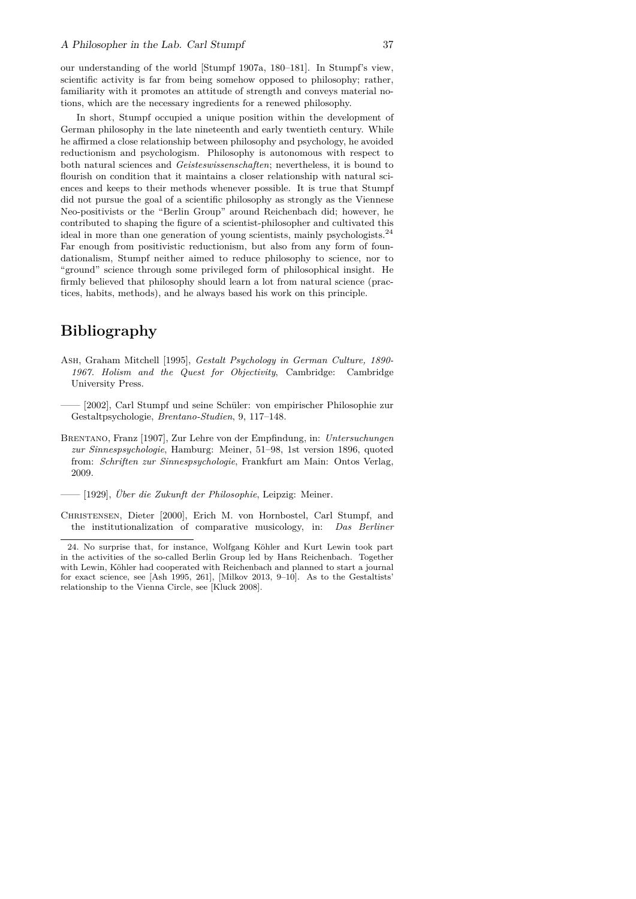our understanding of the world [Stumpf 1907a, 180–181]. In Stumpf's view, scientific activity is far from being somehow opposed to philosophy; rather, familiarity with it promotes an attitude of strength and conveys material notions, which are the necessary ingredients for a renewed philosophy.

In short, Stumpf occupied a unique position within the development of German philosophy in the late nineteenth and early twentieth century. While he affirmed a close relationship between philosophy and psychology, he avoided reductionism and psychologism. Philosophy is autonomous with respect to both natural sciences and *Geisteswissenschaften*; nevertheless, it is bound to flourish on condition that it maintains a closer relationship with natural sciences and keeps to their methods whenever possible. It is true that Stumpf did not pursue the goal of a scientific philosophy as strongly as the Viennese Neo-positivists or the "Berlin Group" around Reichenbach did; however, he contributed to shaping the figure of a scientist-philosopher and cultivated this ideal in more than one generation of young scientists, mainly psychologists.<sup>24</sup> Far enough from positivistic reductionism, but also from any form of foundationalism, Stumpf neither aimed to reduce philosophy to science, nor to "ground" science through some privileged form of philosophical insight. He firmly believed that philosophy should learn a lot from natural science (practices, habits, methods), and he always based his work on this principle.

### **Bibliography**

- Ash, Graham Mitchell [1995], *Gestalt Psychology in German Culture, 1890- 1967. Holism and the Quest for Objectivity*, Cambridge: Cambridge University Press.
- —— [2002], Carl Stumpf und seine Schüler: von empirischer Philosophie zur Gestaltpsychologie, *Brentano-Studien*, 9, 117–148.
- Brentano, Franz [1907], Zur Lehre von der Empfindung, in: *Untersuchungen zur Sinnespsychologie*, Hamburg: Meiner, 51–98, 1st version 1896, quoted from: *Schriften zur Sinnespsychologie*, Frankfurt am Main: Ontos Verlag, 2009.
- —— [1929], *Über die Zukunft der Philosophie*, Leipzig: Meiner.
- Christensen, Dieter [2000], Erich M. von Hornbostel, Carl Stumpf, and the institutionalization of comparative musicology, in: *Das Berliner*

<sup>24.</sup> No surprise that, for instance, Wolfgang Köhler and Kurt Lewin took part in the activities of the so-called Berlin Group led by Hans Reichenbach. Together with Lewin, Köhler had cooperated with Reichenbach and planned to start a journal for exact science, see [Ash 1995, 261], [Milkov 2013, 9–10]. As to the Gestaltists' relationship to the Vienna Circle, see [Kluck 2008].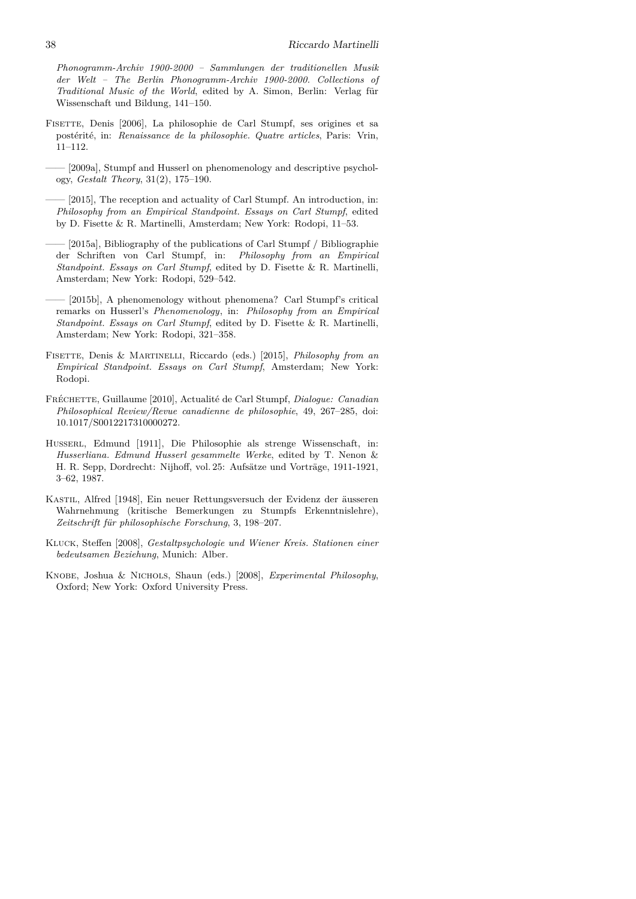*Phonogramm-Archiv 1900-2000 – Sammlungen der traditionellen Musik der Welt – The Berlin Phonogramm-Archiv 1900-2000. Collections of Traditional Music of the World*, edited by A. Simon, Berlin: Verlag für Wissenschaft und Bildung, 141–150.

- FISETTE, Denis [2006], La philosophie de Carl Stumpf, ses origines et sa postérité, in: *Renaissance de la philosophie. Quatre articles*, Paris: Vrin, 11–112.
- —— [2009a], Stumpf and Husserl on phenomenology and descriptive psychology, *Gestalt Theory*, 31(2), 175–190.
- —— [2015], The reception and actuality of Carl Stumpf. An introduction, in: *Philosophy from an Empirical Standpoint. Essays on Carl Stumpf*, edited by D. Fisette & R. Martinelli, Amsterdam; New York: Rodopi, 11–53.
- —— [2015a], Bibliography of the publications of Carl Stumpf / Bibliographie der Schriften von Carl Stumpf, in: *Philosophy from an Empirical Standpoint. Essays on Carl Stumpf*, edited by D. Fisette & R. Martinelli, Amsterdam; New York: Rodopi, 529–542.
- —— [2015b], A phenomenology without phenomena? Carl Stumpf's critical remarks on Husserl's *Phenomenology*, in: *Philosophy from an Empirical Standpoint. Essays on Carl Stumpf*, edited by D. Fisette & R. Martinelli, Amsterdam; New York: Rodopi, 321–358.
- Fisette, Denis & Martinelli, Riccardo (eds.) [2015], *Philosophy from an Empirical Standpoint. Essays on Carl Stumpf*, Amsterdam; New York: Rodopi.
- Fréchette, Guillaume [2010], Actualité de Carl Stumpf, *Dialogue: Canadian Philosophical Review/Revue canadienne de philosophie*, 49, 267–285, doi: 10.1017/S0012217310000272.
- Husserl, Edmund [1911], Die Philosophie als strenge Wissenschaft, in: *Husserliana. Edmund Husserl gesammelte Werke*, edited by T. Nenon & H. R. Sepp, Dordrecht: Nijhoff, vol. 25: Aufsätze und Vorträge, 1911-1921, 3–62, 1987.
- Kastil, Alfred [1948], Ein neuer Rettungsversuch der Evidenz der äusseren Wahrnehmung (kritische Bemerkungen zu Stumpfs Erkenntnislehre), *Zeitschrift für philosophische Forschung*, 3, 198–207.
- Kluck, Steffen [2008], *Gestaltpsychologie und Wiener Kreis. Stationen einer bedeutsamen Beziehung*, Munich: Alber.
- Knobe, Joshua & Nichols, Shaun (eds.) [2008], *Experimental Philosophy*, Oxford; New York: Oxford University Press.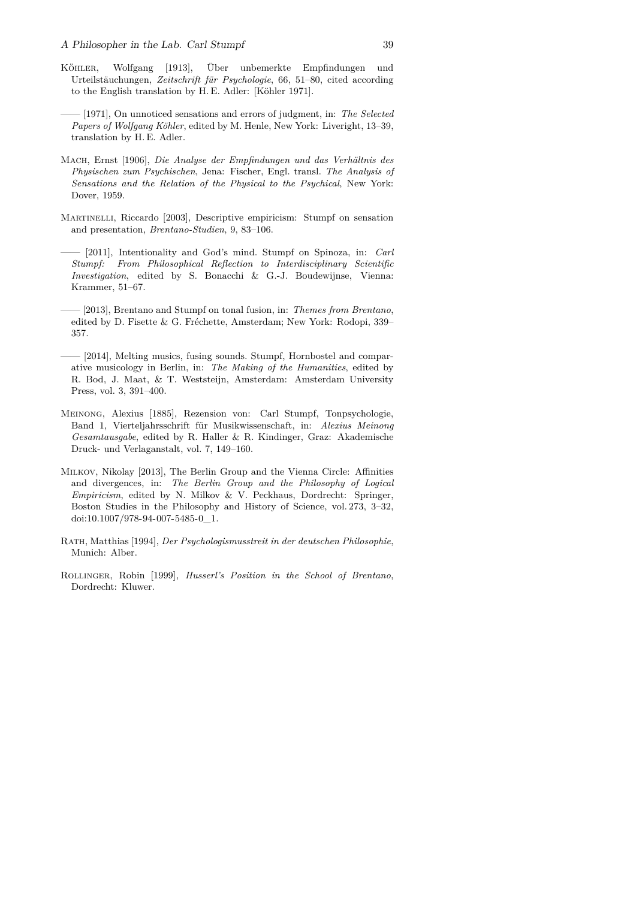- Köhler, Wolfgang [1913], Über unbemerkte Empfindungen und Urteilstäuchungen, *Zeitschrift für Psychologie*, 66, 51–80, cited according to the English translation by H. E. Adler: [Köhler 1971].
	- —— [1971], On unnoticed sensations and errors of judgment, in: *The Selected Papers of Wolfgang Köhler*, edited by M. Henle, New York: Liveright, 13–39, translation by H. E. Adler.
- Mach, Ernst [1906], *Die Analyse der Empfindungen und das Verhältnis des Physischen zum Psychischen*, Jena: Fischer, Engl. transl. *The Analysis of Sensations and the Relation of the Physical to the Psychical*, New York: Dover, 1959.
- Martinelli, Riccardo [2003], Descriptive empiricism: Stumpf on sensation and presentation, *Brentano-Studien*, 9, 83–106.
- —— [2011], Intentionality and God's mind. Stumpf on Spinoza, in: *Carl Stumpf: From Philosophical Reflection to Interdisciplinary Scientific Investigation*, edited by S. Bonacchi & G.-J. Boudewijnse, Vienna: Krammer, 51–67.
- —— [2013], Brentano and Stumpf on tonal fusion, in: *Themes from Brentano*, edited by D. Fisette & G. Fréchette, Amsterdam; New York: Rodopi, 339– 357.
- —— [2014], Melting musics, fusing sounds. Stumpf, Hornbostel and comparative musicology in Berlin, in: *The Making of the Humanities*, edited by R. Bod, J. Maat, & T. Weststeijn, Amsterdam: Amsterdam University Press, vol. 3, 391–400.
- Meinong, Alexius [1885], Rezension von: Carl Stumpf, Tonpsychologie, Band 1, Vierteljahrsschrift für Musikwissenschaft, in: *Alexius Meinong Gesamtausgabe*, edited by R. Haller & R. Kindinger, Graz: Akademische Druck- und Verlaganstalt, vol. 7, 149–160.
- Milkov, Nikolay [2013], The Berlin Group and the Vienna Circle: Affinities and divergences, in: *The Berlin Group and the Philosophy of Logical Empiricism*, edited by N. Milkov & V. Peckhaus, Dordrecht: Springer, Boston Studies in the Philosophy and History of Science, vol. 273, 3–32, doi:10.1007/978-94-007-5485-0\_1.
- Rath, Matthias [1994], *Der Psychologismusstreit in der deutschen Philosophie*, Munich: Alber.
- Rollinger, Robin [1999], *Husserl's Position in the School of Brentano*, Dordrecht: Kluwer.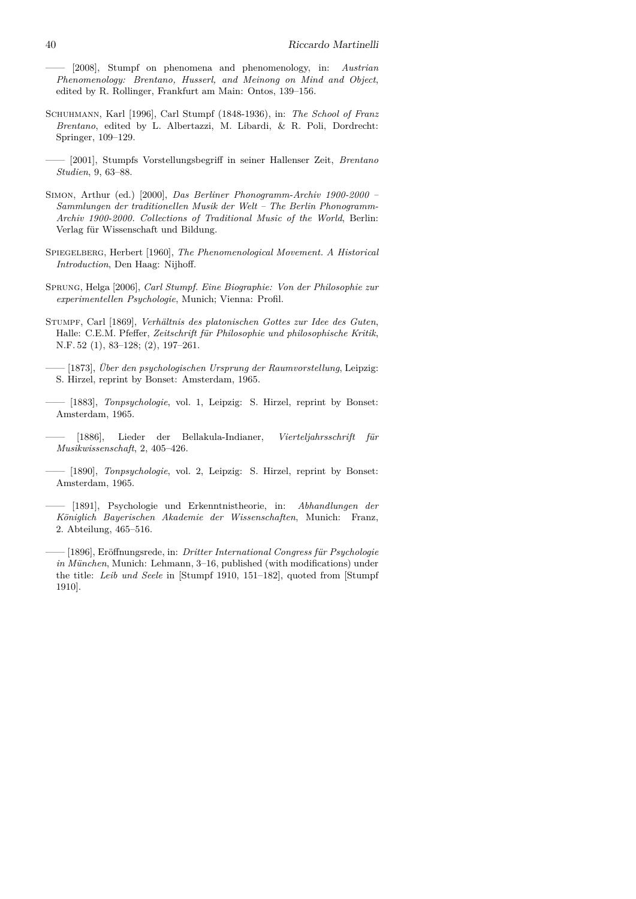—— [2008], Stumpf on phenomena and phenomenology, in: *Austrian Phenomenology: Brentano, Husserl, and Meinong on Mind and Object*, edited by R. Rollinger, Frankfurt am Main: Ontos, 139–156.

- Schuhmann, Karl [1996], Carl Stumpf (1848-1936), in: *The School of Franz Brentano*, edited by L. Albertazzi, M. Libardi, & R. Poli, Dordrecht: Springer, 109–129.
- —— [2001], Stumpfs Vorstellungsbegriff in seiner Hallenser Zeit, *Brentano Studien*, 9, 63–88.
- Simon, Arthur (ed.) [2000], *Das Berliner Phonogramm-Archiv 1900-2000 – Sammlungen der traditionellen Musik der Welt – The Berlin Phonogramm-Archiv 1900-2000. Collections of Traditional Music of the World*, Berlin: Verlag für Wissenschaft und Bildung.
- Spiegelberg, Herbert [1960], *The Phenomenological Movement. A Historical Introduction*, Den Haag: Nijhoff.
- Sprung, Helga [2006], *Carl Stumpf. Eine Biographie: Von der Philosophie zur experimentellen Psychologie*, Munich; Vienna: Profil.
- Stumpf, Carl [1869], *Verhältnis des platonischen Gottes zur Idee des Guten*, Halle: C.E.M. Pfeffer, *Zeitschrift für Philosophie und philosophische Kritik*, N.F. 52 (1), 83–128; (2), 197–261.
- —— [1873], *Über den psychologischen Ursprung der Raumvorstellung*, Leipzig: S. Hirzel, reprint by Bonset: Amsterdam, 1965.
- —— [1883], *Tonpsychologie*, vol. 1, Leipzig: S. Hirzel, reprint by Bonset: Amsterdam, 1965.
- —— [1886], Lieder der Bellakula-Indianer, *Vierteljahrsschrift für Musikwissenschaft*, 2, 405–426.
- —— [1890], *Tonpsychologie*, vol. 2, Leipzig: S. Hirzel, reprint by Bonset: Amsterdam, 1965.
- —— [1891], Psychologie und Erkenntnistheorie, in: *Abhandlungen der Königlich Bayerischen Akademie der Wissenschaften*, Munich: Franz, 2. Abteilung, 465–516.
- —— [1896], Eröffnungsrede, in: *Dritter International Congress für Psychologie in München*, Munich: Lehmann, 3–16, published (with modifications) under the title: *Leib und Seele* in [Stumpf 1910, 151–182], quoted from [Stumpf 1910].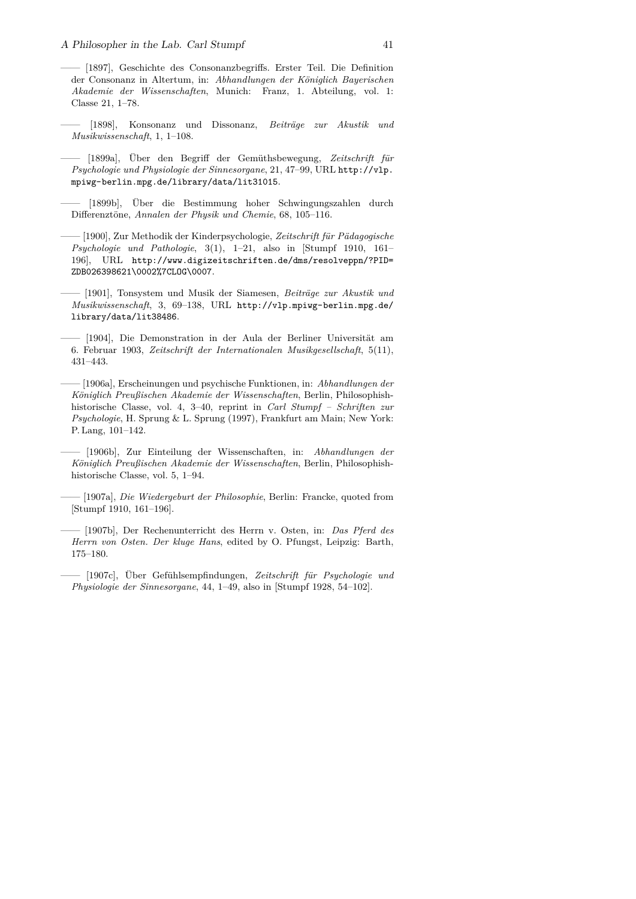- —— [1897], Geschichte des Consonanzbegriffs. Erster Teil. Die Definition der Consonanz in Altertum, in: *Abhandlungen der Königlich Bayerischen Akademie der Wissenschaften*, Munich: Franz, 1. Abteilung, vol. 1: Classe 21, 1–78.
- —— [1898], Konsonanz und Dissonanz, *Beiträge zur Akustik und Musikwissenschaft*, 1, 1–108.
- —— [1899a], Über den Begriff der Gemüthsbewegung, *Zeitschrift für Psychologie und Physiologie der Sinnesorgane*, 21, 47–99, URL http://vlp. mpiwg-berlin.mpg.de/library/data/lit31015.
- —— [1899b], Über die Bestimmung hoher Schwingungszahlen durch Differenztöne, *Annalen der Physik und Chemie*, 68, 105–116.
- —— [1900], Zur Methodik der Kinderpsychologie, *Zeitschrift für Pädagogische Psychologie und Pathologie*, 3(1), 1–21, also in [Stumpf 1910, 161– 196], URL http://www.digizeitschriften.de/dms/resolveppn/?PID= ZDB026398621\0002%7CLOG\0007.
- —— [1901], Tonsystem und Musik der Siamesen, *Beiträge zur Akustik und Musikwissenschaft*, 3, 69–138, URL http://vlp.mpiwg-berlin.mpg.de/ library/data/lit38486.
- —— [1904], Die Demonstration in der Aula der Berliner Universität am 6. Februar 1903, *Zeitschrift der Internationalen Musikgesellschaft*, 5(11), 431–443.
- —— [1906a], Erscheinungen und psychische Funktionen, in: *Abhandlungen der Königlich Preußischen Akademie der Wissenschaften*, Berlin, Philosophishhistorische Classe, vol. 4, 3–40, reprint in *Carl Stumpf – Schriften zur Psychologie*, H. Sprung & L. Sprung (1997), Frankfurt am Main; New York: P. Lang, 101–142.
- —— [1906b], Zur Einteilung der Wissenschaften, in: *Abhandlungen der Königlich Preußischen Akademie der Wissenschaften*, Berlin, Philosophishhistorische Classe, vol. 5, 1–94.
- —— [1907a], *Die Wiedergeburt der Philosophie*, Berlin: Francke, quoted from [Stumpf 1910, 161–196].
- —— [1907b], Der Rechenunterricht des Herrn v. Osten, in: *Das Pferd des Herrn von Osten. Der kluge Hans*, edited by O. Pfungst, Leipzig: Barth, 175–180.
- —— [1907c], Über Gefühlsempfindungen, *Zeitschrift für Psychologie und Physiologie der Sinnesorgane*, 44, 1–49, also in [Stumpf 1928, 54–102].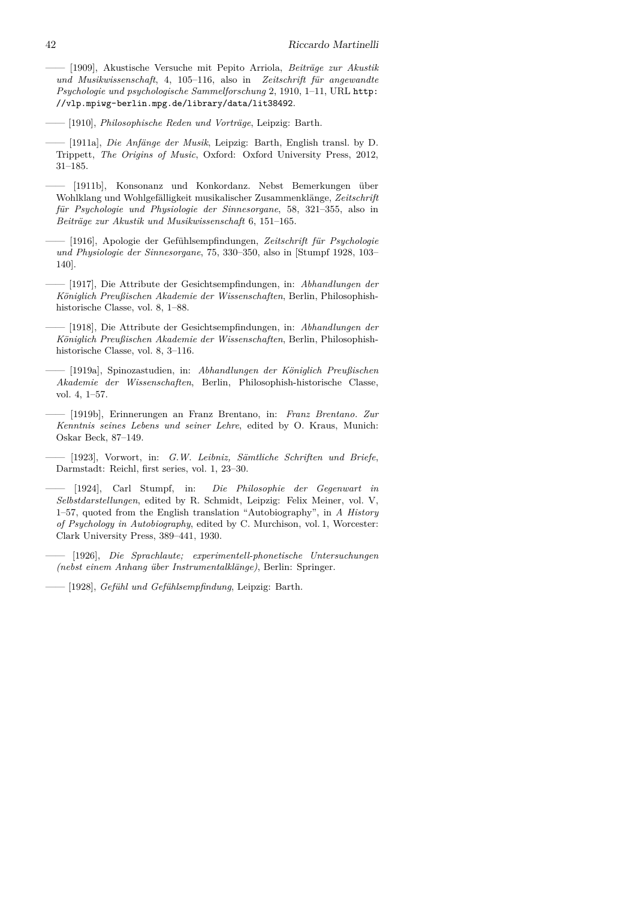—— [1909], Akustische Versuche mit Pepito Arriola, *Beiträge zur Akustik und Musikwissenschaft*, 4, 105–116, also in *Zeitschrift für angewandte Psychologie und psychologische Sammelforschung* 2, 1910, 1–11, URL http: //vlp.mpiwg-berlin.mpg.de/library/data/lit38492.

—— [1910], *Philosophische Reden und Vorträge*, Leipzig: Barth.

- —— [1911a], *Die Anfänge der Musik*, Leipzig: Barth, English transl. by D. Trippett, *The Origins of Music*, Oxford: Oxford University Press, 2012, 31–185.
- [1911b], Konsonanz und Konkordanz. Nebst Bemerkungen über Wohlklang und Wohlgefälligkeit musikalischer Zusammenklänge, *Zeitschrift für Psychologie und Physiologie der Sinnesorgane*, 58, 321–355, also in *Beiträge zur Akustik und Musikwissenschaft* 6, 151–165.
- —— [1916], Apologie der Gefühlsempfindungen, *Zeitschrift für Psychologie und Physiologie der Sinnesorgane*, 75, 330–350, also in [Stumpf 1928, 103– 140].
- —— [1917], Die Attribute der Gesichtsempfindungen, in: *Abhandlungen der Königlich Preußischen Akademie der Wissenschaften*, Berlin, Philosophishhistorische Classe, vol. 8, 1–88.
- —— [1918], Die Attribute der Gesichtsempfindungen, in: *Abhandlungen der Königlich Preußischen Akademie der Wissenschaften*, Berlin, Philosophishhistorische Classe, vol. 8, 3–116.
- —— [1919a], Spinozastudien, in: *Abhandlungen der Königlich Preußischen Akademie der Wissenschaften*, Berlin, Philosophish-historische Classe, vol. 4, 1–57.
- —— [1919b], Erinnerungen an Franz Brentano, in: *Franz Brentano. Zur Kenntnis seines Lebens und seiner Lehre*, edited by O. Kraus, Munich: Oskar Beck, 87–149.
- —— [1923], Vorwort, in: *G.W. Leibniz, Sämtliche Schriften und Briefe*, Darmstadt: Reichl, first series, vol. 1, 23–30.
- —— [1924], Carl Stumpf, in: *Die Philosophie der Gegenwart in Selbstdarstellungen*, edited by R. Schmidt, Leipzig: Felix Meiner, vol. V, 1–57, quoted from the English translation "Autobiography", in *A History of Psychology in Autobiography*, edited by C. Murchison, vol. 1, Worcester: Clark University Press, 389–441, 1930.
- —— [1926], *Die Sprachlaute; experimentell-phonetische Untersuchungen (nebst einem Anhang über Instrumentalklänge)*, Berlin: Springer.
- —— [1928], *Gefühl und Gefühlsempfindung*, Leipzig: Barth.